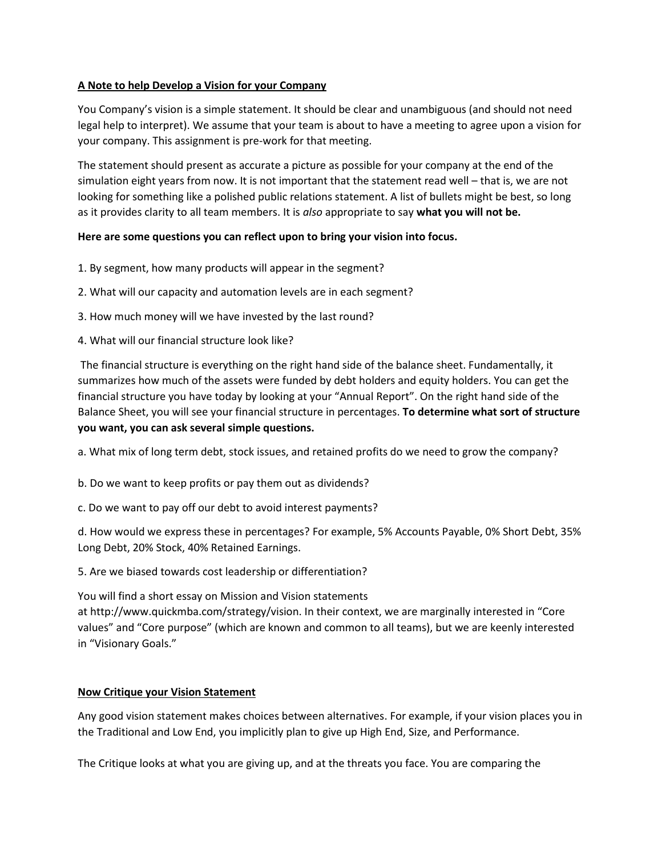## A Note to help Develop a Vision for your Company

You Company's vision is a simple statement. It should be clear and unambiguous (and should not need legal help to interpret). We assume that your team is about to have a meeting to agree upon a vision for your company. This assignment is pre-work for that meeting.

The statement should present as accurate a picture as possible for your company at the end of the simulation eight years from now. It is not important that the statement read well - that is, we are not looking for something like a polished public relations statement. A list of bullets might be best, so long as it provides clarity to all team members. It is also appropriate to say what you will not be.

## Here are some questions you can reflect upon to bring your vision into focus.

- 1. By segment, how many products will appear in the segment?
- 2. What will our capacity and automation levels are in each segment?
- 3. How much money will we have invested by the last round?
- 4. What will our financial structure look like?

The financial structure is everything on the right hand side of the balance sheet. Fundamentally, it summarizes how much of the assets were funded by debt holders and equity holders. You can get the financial structure you have today by looking at your "Annual Report". On the right hand side of the Balance Sheet, you will see your financial structure in percentages. To determine what sort of structure you want, you can ask several simple questions.

a. What mix of long term debt, stock issues, and retained profits do we need to grow the company?

b. Do we want to keep profits or pay them out as dividends?

c. Do we want to pay off our debt to avoid interest payments?

d. How would we express these in percentages? For example, 5% Accounts Payable, 0% Short Debt, 35% Long Debt, 20% Stock, 40% Retained Earnings.

5. Are we biased towards cost leadership or differentiation?

You will find a short essay on Mission and Vision statements

at http://www.quickmba.com/strategy/vision. In their context, we are marginally interested in "Core values" and "Core purpose" (which are known and common to all teams), but we are keenly interested in "Visionary Goals."

## **Now Critique your Vision Statement**

Any good vision statement makes choices between alternatives. For example, if your vision places you in the Traditional and Low End, you implicitly plan to give up High End, Size, and Performance.

The Critique looks at what you are giving up, and at the threats you face. You are comparing the